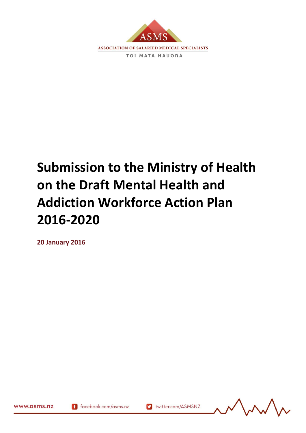

# **Submission to the Ministry of Health on the Draft Mental Health and Addiction Workforce Action Plan 2016-2020**

v twitter.com/ASMSNZ

**20 January 2016**

www.asms.nz

 $(11/2)$   $(11/2)$ 

f facebook.com/asms.nz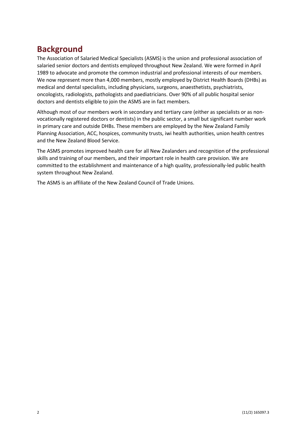## **Background**

The Association of Salaried Medical Specialists (ASMS) is the union and professional association of salaried senior doctors and dentists employed throughout New Zealand. We were formed in April 1989 to advocate and promote the common industrial and professional interests of our members. We now represent more than 4,000 members, mostly employed by District Health Boards (DHBs) as medical and dental specialists, including physicians, surgeons, anaesthetists, psychiatrists, oncologists, radiologists, pathologists and paediatricians. Over 90% of all public hospital senior doctors and dentists eligible to join the ASMS are in fact members.

Although most of our members work in secondary and tertiary care (either as specialists or as nonvocationally registered doctors or dentists) in the public sector, a small but significant number work in primary care and outside DHBs. These members are employed by the New Zealand Family Planning Association, ACC, hospices, community trusts, iwi health authorities, union health centres and the New Zealand Blood Service.

The ASMS promotes improved health care for all New Zealanders and recognition of the professional skills and training of our members, and their important role in health care provision. We are committed to the establishment and maintenance of a high quality, professionally-led public health system throughout New Zealand.

The ASMS is an affiliate of the New Zealand Council of Trade Unions.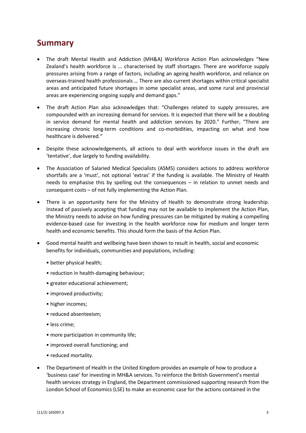#### **Summary**

- The draft Mental Health and Addiction (MH&A) Workforce Action Plan acknowledges "New Zealand's health workforce is … characterised by staff shortages. There are workforce supply pressures arising from a range of factors, including an ageing health workforce, and reliance on overseas-trained health professionals … There are also current shortages within critical specialist areas and anticipated future shortages in some specialist areas, and some rural and provincial areas are experiencing ongoing supply and demand gaps."
- The draft Action Plan also acknowledges that: "Challenges related to supply pressures, are compounded with an increasing demand for services. It is expected that there will be a doubling in service demand for mental health and addiction services by 2020." Further, "There are increasing chronic long-term conditions and co-morbidities, impacting on what and how healthcare is delivered*."*
- Despite these acknowledgements, all actions to deal with workforce issues in the draft are 'tentative', due largely to funding availability.
- The Association of Salaried Medical Specialists (ASMS) considers actions to address workforce shortfalls are a 'must', not optional 'extras' if the funding is available. The Ministry of Health needs to emphasise this by spelling out the consequences – in relation to unmet needs and consequent costs – of not fully implementing the Action Plan.
- There is an opportunity here for the Ministry of Health to demonstrate strong leadership. Instead of passively accepting that funding may not be available to implement the Action Plan, the Ministry needs to advise on how funding pressures can be mitigated by making a compelling evidence-based case for investing in the health workforce now for medium and longer term health and economic benefits. This should form the basis of the Action Plan.
- Good mental health and wellbeing have been shown to result in health, social and economic benefits for individuals, communities and populations, including:
	- better physical health;
	- reduction in health-damaging behaviour;
	- greater educational achievement;
	- improved productivity;
	- higher incomes;
	- reduced absenteeism;
	- less crime;
	- more participation in community life;
	- improved overall functioning; and
	- reduced mortality.
- The Department of Health in the United Kingdom provides an example of how to produce a 'business case' for investing in MH&A services. To reinforce the British Government's mental health services strategy in England, the Department commissioned supporting research from the London School of Economics (LSE) to make an economic case for the actions contained in the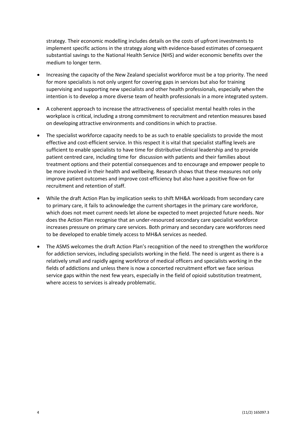strategy. Their economic modelling includes details on the costs of upfront investments to implement specific actions in the strategy along with evidence-based estimates of consequent substantial savings to the National Health Service (NHS) and wider economic benefits over the medium to longer term.

- Increasing the capacity of the New Zealand specialist workforce must be a top priority. The need for more specialists is not only urgent for covering gaps in services but also for training supervising and supporting new specialists and other health professionals, especially when the intention is to develop a more diverse team of health professionals in a more integrated system.
- A coherent approach to increase the attractiveness of specialist mental health roles in the workplace is critical, including a strong commitment to recruitment and retention measures based on developing attractive environments and conditionsin which to practise.
- The specialist workforce capacity needs to be as such to enable specialists to provide the most effective and cost-efficient service. In this respect it is vital that specialist staffing levels are sufficient to enable specialists to have time for distributive clinical leadership and to provide patient centred care, including time for discussion with patients and their families about treatment options and their potential consequences and to encourage and empower people to be more involved in their health and wellbeing. Research shows that these measures not only improve patient outcomes and improve cost-efficiency but also have a positive flow-on for recruitment and retention of staff.
- While the draft Action Plan by implication seeks to shift MH&A workloads from secondary care to primary care, it fails to acknowledge the current shortages in the primary care workforce, which does not meet current needs let alone be expected to meet projected future needs. Nor does the Action Plan recognise that an under-resourced secondary care specialist workforce increases pressure on primary care services. Both primary and secondary care workforces need to be developed to enable timely access to MH&A services as needed.
- The ASMS welcomes the draft Action Plan's recognition of the need to strengthen the workforce for addiction services, including specialists working in the field. The need is urgent as there is a relatively small and rapidly ageing workforce of medical officers and specialists working in the fields of addictions and unless there is now a concerted recruitment effort we face serious service gaps within the next few years, especially in the field of opioid substitution treatment, where access to services is already problematic.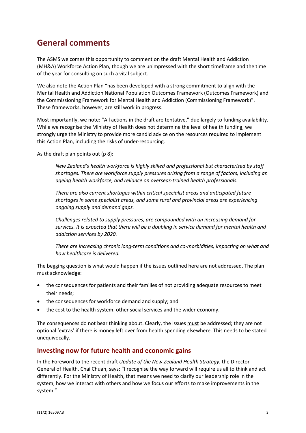## **General comments**

The ASMS welcomes this opportunity to comment on the draft Mental Health and Addiction (MH&A) Workforce Action Plan, though we are unimpressed with the short timeframe and the time of the year for consulting on such a vital subject.

We also note the Action Plan "has been developed with a strong commitment to align with the Mental Health and Addiction National Population Outcomes Framework (Outcomes Framework) and the Commissioning Framework for Mental Health and Addiction (Commissioning Framework)". These frameworks, however, are still work in progress.

Most importantly, we note: "All actions in the draft are tentative," due largely to funding availability. While we recognise the Ministry of Health does not determine the level of health funding, we strongly urge the Ministry to provide more candid advice on the resources required to implement this Action Plan, including the risks of under-resourcing.

As the draft plan points out (p 8):

*New Zealand's health workforce is highly skilled and professional but characterised by staff shortages. There are workforce supply pressures arising from a range of factors, including an ageing health workforce, and reliance on overseas-trained health professionals.*

*There are also current shortages within critical specialist areas and anticipated future shortages in some specialist areas, and some rural and provincial areas are experiencing ongoing supply and demand gaps.*

*Challenges related to supply pressures, are compounded with an increasing demand for services. It is expected that there will be a doubling in service demand for mental health and addiction services by 2020.*

*There are increasing chronic long-term conditions and co-morbidities, impacting on what and how healthcare is delivered.*

The begging question is what would happen if the issues outlined here are not addressed. The plan must acknowledge:

- the consequences for patients and their families of not providing adequate resources to meet their needs;
- the consequences for workforce demand and supply; and
- the cost to the health system, other social services and the wider economy.

The consequences do not bear thinking about. Clearly, the issues must be addressed; they are not optional 'extras' if there is money left over from health spending elsewhere. This needs to be stated unequivocally.

#### **Investing now for future health and economic gains**

In the Foreword to the recent draft *Update of the New Zealand Health Strategy*, the Director-General of Health, Chai Chuah, says: "I recognise the way forward will require us all to think and act differently. For the Ministry of Health, that means we need to clarify our leadership role in the system, how we interact with others and how we focus our efforts to make improvements in the system."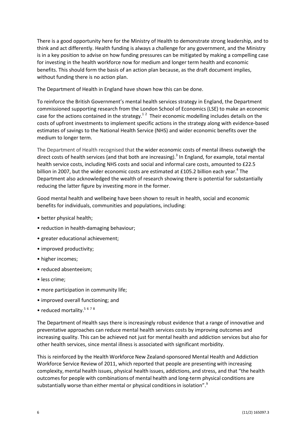There is a good opportunity here for the Ministry of Health to demonstrate strong leadership, and to think and act differently. Health funding is always a challenge for any government, and the Ministry is in a key position to advise on how funding pressures can be mitigated by making a compelling case for investing in the health workforce now for medium and longer term health and economic benefits. This should form the basis of an action plan because, as the draft document implies, without funding there is no action plan.

The Department of Health in England have shown how this can be done.

To reinforce the British Government's mental health services strategy in England, the Department commissioned supporting research from the London School of Economics (LSE) to make an economic case for the actions contained in the strategy.<sup>12</sup> Their economic modelling includes details on the costs of upfront investments to implement specific actions in the strategy along with evidence-based estimates of savings to the National Health Service (NHS) and wider economic benefits over the medium to longer term.

The Department of Health recognised that the wider economic costs of mental illness outweigh the direct costs of health services (and that both are increasing).<sup>3</sup> In England, for example, total mental health service costs, including NHS costs and social and informal care costs, amounted to £22.5 billion in 2007, but the wider economic costs are estimated at £105.2 billion each year.<sup>4</sup> The Department also acknowledged the wealth of research showing there is potential for substantially reducing the latter figure by investing more in the former.

Good mental health and wellbeing have been shown to result in health, social and economic benefits for individuals, communities and populations, including:

- better physical health;
- reduction in health-damaging behaviour;
- greater educational achievement;
- improved productivity;
- higher incomes;
- reduced absenteeism;
- less crime;
- more participation in community life;
- improved overall functioning; and
- reduced mortality.<sup>5678</sup>

The Department of Health says there is increasingly robust evidence that a range of innovative and preventative approaches can reduce mental health services costs by improving outcomes and increasing quality. This can be achieved not just for mental health and addiction services but also for other health services, since mental illness is associated with significant morbidity.

This is reinforced by the Health Workforce New Zealand-sponsored Mental Health and Addiction Workforce Service Review of 2011, which reported that people are presenting with increasing complexity, mental health issues, physical health issues, addictions, and stress, and that "the health outcomesfor people with combinations of mental health and long-term physical conditions are substantially worse than either mental or physical conditions in isolation". $^9$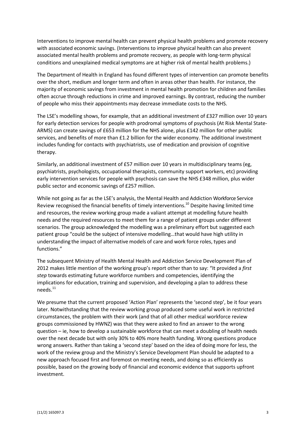Interventions to improve mental health can prevent physical health problems and promote recovery with associated economic savings. (Interventions to improve physical health can also prevent associated mental health problems and promote recovery, as people with long-term physical conditions and unexplained medical symptoms are at higher risk of mental health problems.)

The Department of Health in England has found different types of intervention can promote benefits over the short, medium and longer term and often in areas other than health. For instance, the majority of economic savings from investment in mental health promotion for children and families often accrue through reductions in crime and improved earnings. By contrast, reducing the number of people who miss their appointments may decrease immediate costs to the NHS.

The LSE's modelling shows, for example, that an additional investment of £327 million over 10 years for early detection services for people with prodromal symptoms of psychosis (At Risk Mental State-ARMS) can create savings of £653 million for the NHS alone, plus £142 million for other public services, and benefits of more than £1.2 billion for the wider economy. The additional investment includes funding for contacts with psychiatrists, use of medication and provision of cognitive therapy.

Similarly, an additional investment of £57 million over 10 years in multidisciplinary teams (eg, psychiatrists, psychologists, occupational therapists, community support workers, etc) providing early intervention services for people with psychosis can save the NHS £348 million, plus wider public sector and economic savings of £257 million.

While not going as far as the LSE's analysis, the Mental Health and Addiction Workforce Service Review recognised the financial benefits of timely interventions.<sup>10</sup> Despite having limited time and resources, the review working group made a valiant attempt at modelling future health needs and the required resources to meet them for a range of patient groups under different scenarios. The group acknowledged the modelling was a preliminary effort but suggested each patient group "could be the subject of intensive modelling…that would have high utility in understanding the impact of alternative models of care and work force roles, types and functions."

The subsequent Ministry of Health Mental Health and Addiction Service Development Plan of 2012 makes little mention of the working group's report other than to say: "It provided a *first step* towards estimating future workforce numbers and competencies, identifying the implications for education, training and supervision, and developing a plan to address these needs.<sup>11</sup>

We presume that the current proposed 'Action Plan' represents the 'second step', be it four years later. Notwithstanding that the review working group produced some useful work in restricted circumstances, the problem with their work (and that of all other medical workforce review groups commissioned by HWNZ) was that they were asked to find an answer to the wrong question – ie, how to develop a sustainable workforce that can meet a doubling of health needs over the next decade but with only 30% to 40% more health funding. Wrong questions produce wrong answers. Rather than taking a 'second step' based on the idea of doing more for less, the work of the review group and the Ministry's Service Development Plan should be adapted to a new approach focused first and foremost on meeting needs, and doing so as efficiently as possible, based on the growing body of financial and economic evidence that supports upfront investment.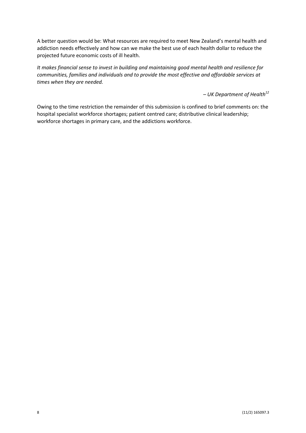A better question would be: What resources are required to meet New Zealand's mental health and addiction needs effectively and how can we make the best use of each health dollar to reduce the projected future economic costs of ill health.

*It makes financial sense to invest in building and maintaining good mental health and resilience for communities, families and individuals and to provide the most effective and affordable services at times when they are needed.*

*– UK Department of Health<sup>12</sup>*

Owing to the time restriction the remainder of this submission is confined to brief comments on: the hospital specialist workforce shortages; patient centred care; distributive clinical leadership; workforce shortages in primary care, and the addictions workforce.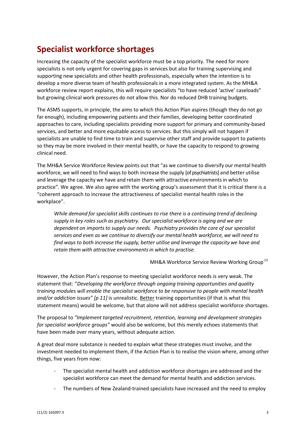# **Specialist workforce shortages**

Increasing the capacity of the specialist workforce must be a top priority. The need for more specialists is not only urgent for covering gaps in services but also for training supervising and supporting new specialists and other health professionals, especially when the intention is to develop a more diverse team of health professionals in a more integrated system. As the MH&A workforce review report explains, this will require specialists "to have reduced 'active' caseloads" but growing clinical work pressures do not allow this. Nor do reduced DHB training budgets.

The ASMS supports, in principle, the aims to which this Action Plan aspires (though they do not go far enough), including empowering patients and their families, developing better coordinated approaches to care, including specialists providing more support for primary and community-based services, and better and more equitable access to services. But this simply will not happen if specialists are unable to find time to train and supervise other staff and provide support to patients so they may be more involved in their mental health, or have the capacity to respond to growing clinical need.

The MH&A Service Workforce Review points out that "as we continue to diversify our mental health workforce, we will need to find ways to both increase the supply [of psychiatrists] and better utilise and leverage the capacity we have and retain them with attractive environmentsin which to practice". We agree. We also agree with the working group's assessment that it is critical there is a "coherent approach to increase the attractiveness of specialist mental health roles in the workplace".

*While demand for specialistskills continues to rise there is a continuing trend of declining supply in key roles such as psychiatry. Our specialist workforce is aging and we are dependent on importsto supply our needs. Psychiatry providesthe core of our specialist services and even as we continue to diversify our mental health workforce, we will need to find ways to both increase the supply, better utilise and leverage the capacity we have and retain them with attractive environmentsin which to practise.*

MH&A Workforce Service Review Working Group<sup>13</sup>

However, the Action Plan's response to meeting specialist workforce needs is very weak. The statement that: "*Developing the workforce through ongoing training opportunities and quality training modules will enable the specialist workforce to be responsive to people with mental health and/or addiction issues" [p 11]* is unrealistic*.* Better training opportunities (if that is what this statement means) would be welcome, but that alone will not address specialist workforce shortages.

The proposal to *"Implement targeted recruitment, retention, learning and development strategies for specialist workforce groups"* would also be welcome, but this merely echoes statements that have been made over many years, without adequate action.

A great deal more substance is needed to explain what these strategies must involve, and the investment needed to implement them, if the Action Plan is to realise the vision where, among other things, five years from now:

- The specialist mental health and addiction workforce shortages are addressed and the specialist workforce can meet the demand for mental health and addiction services.
- The numbers of New Zealand-trained specialists have increased and the need to employ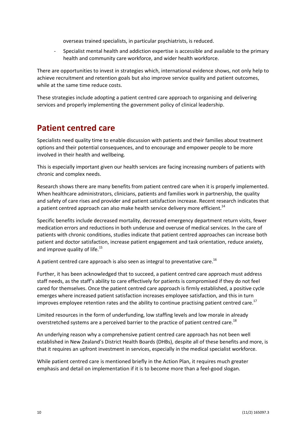overseas trained specialists, in particular psychiatrists, is reduced.

- Specialist mental health and addiction expertise is accessible and available to the primary health and community care workforce, and wider health workforce.

There are opportunities to invest in strategies which, international evidence shows, not only help to achieve recruitment and retention goals but also improve service quality and patient outcomes, while at the same time reduce costs.

These strategies include adopting a patient centred care approach to organising and delivering services and properly implementing the government policy of clinical leadership.

#### **Patient centred care**

Specialists need quality time to enable discussion with patients and their families about treatment options and their potential consequences, and to encourage and empower people to be more involved in their health and wellbeing.

This is especially important given our health services are facing increasing numbers of patients with chronic and complex needs.

Research shows there are many benefits from patient centred care when it is properly implemented. When healthcare administrators, clinicians, patients and families work in partnership, the quality and safety of care rises and provider and patient satisfaction increase. Recent research indicates that a patient centred approach can also make health service delivery more efficient.<sup>14</sup>

Specific benefits include decreased mortality, decreased emergency department return visits, fewer medication errors and reductions in both underuse and overuse of medical services. In the care of patients with chronic conditions, studies indicate that patient centred approaches can increase both patient and doctor satisfaction, increase patient engagement and task orientation, reduce anxiety, and improve quality of life.<sup>15</sup>

A patient centred care approach is also seen as integral to preventative care.<sup>16</sup>

Further, it has been acknowledged that to succeed, a patient centred care approach must address staff needs, as the staff's ability to care effectively for patients is compromised if they do not feel cared for themselves. Once the patient centred care approach is firmly established, a positive cycle emerges where increased patient satisfaction increases employee satisfaction, and this in turn improves employee retention rates and the ability to continue practising patient centred care.<sup>17</sup>

Limited resources in the form of underfunding, low staffing levels and low morale in already overstretched systems are a perceived barrier to the practice of patient centred care.<sup>18</sup>

An underlying reason why a comprehensive patient centred care approach has not been well established in New Zealand's District Health Boards (DHBs), despite all of these benefits and more, is that it requires an upfront investment in services, especially in the medical specialist workforce.

While patient centred care is mentioned briefly in the Action Plan, it requires much greater emphasis and detail on implementation if it is to become more than a feel-good slogan.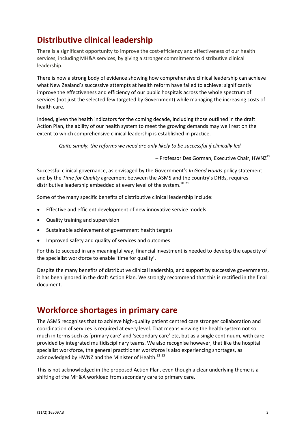# **Distributive clinical leadership**

There is a significant opportunity to improve the cost-efficiency and effectiveness of our health services, including MH&A services, by giving a stronger commitment to distributive clinical leadership.

There is now a strong body of evidence showing how comprehensive clinical leadership can achieve what New Zealand's successive attempts at health reform have failed to achieve: significantly improve the effectiveness and efficiency of our public hospitals across the whole spectrum of services (not just the selected few targeted by Government) while managing the increasing costs of health care.

Indeed, given the health indicators for the coming decade, including those outlined in the draft Action Plan, the ability of our health system to meet the growing demands may well rest on the extent to which comprehensive clinical leadership is established in practice.

*Quite simply, the reforms we need are only likely to be successful if clinically led.*

 $-$  Professor Des Gorman, Executive Chair, HWNZ<sup>19</sup>

Successful clinical governance, as envisaged by the Government's *In Good Hands* policy statement and by the *Time for Quality* agreement between the ASMS and the country's DHBs, requires distributive leadership embedded at every level of the system.<sup>20 21</sup>

Some of the many specific benefits of distributive clinical leadership include:

- Effective and efficient development of new innovative service models
- Quality training and supervision
- Sustainable achievement of government health targets
- Improved safety and quality of services and outcomes

For this to succeed in any meaningful way, financial investment is needed to develop the capacity of the specialist workforce to enable 'time for quality'.

Despite the many benefits of distributive clinical leadership, and support by successive governments, it has been ignored in the draft Action Plan. We strongly recommend that this is rectified in the final document.

#### **Workforce shortages in primary care**

The ASMS recognises that to achieve high-quality patient centred care stronger collaboration and coordination of services is required at every level. That means viewing the health system not so much in terms such as 'primary care' and 'secondary care' etc, but as a single continuum, with care provided by integrated multidisciplinary teams. We also recognise however, that like the hospital specialist workforce, the general practitioner workforce is also experiencing shortages, as acknowledged by HWNZ and the Minister of Health.<sup>22 23</sup>

This is not acknowledged in the proposed Action Plan, even though a clear underlying theme is a shifting of the MH&A workload from secondary care to primary care.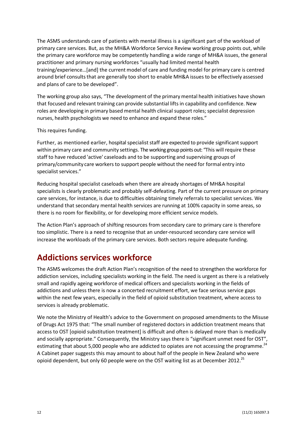The ASMS understands care of patients with mental illness is a significant part of the workload of primary care services. But, as the MH&A Workforce Service Review working group points out, while the primary care workforce may be competently handling a wide range of MH&A issues, the general practitioner and primary nursing workforces "usually had limited mental health training/experience…[and] the current model of care and funding model for primary care is centred around brief consults that are generally too short to enable MH&A issues to be effectively assessed and plans of care to be developed".

The working group also says, "The development of the primary mental health initiatives have shown that focused and relevant training can provide substantial lifts in capability and confidence. New roles are developing in primary based mental health clinical support roles; specialist depression nurses, health psychologists we need to enhance and expand these roles."

#### This requires funding.

Further, as mentioned earlier, hospital specialist staff are expected to provide significant support within primary care and community settings. Theworking group pointsout: "This will require these staff to have reduced 'active' caseloads and to be supporting and supervising groups of primary/community care workers to support people without the need for formal entry into specialist services."

Reducing hospital specialist caseloads when there are already shortages of MH&A hospital specialists is clearly problematic and probably self-defeating. Part of the current pressure on primary care services, for instance, is due to difficulties obtaining timely referrals to specialist services. We understand that secondary mental health services are running at 100% capacity in some areas, so there is no room for flexibility, or for developing more efficient service models.

The Action Plan's approach of shifting resources from secondary care to primary care is therefore too simplistic. There is a need to recognise that an under-resourced secondary care service will increase the workloads of the primary care services. Both sectors require adequate funding.

### **Addictions services workforce**

The ASMS welcomes the draft Action Plan's recognition of the need to strengthen the workforce for addiction services, including specialists working in the field. The need is urgent as there is a relatively small and rapidly ageing workforce of medical officers and specialists working in the fields of addictions and unless there is now a concerted recruitment effort, we face serious service gaps within the next few years, especially in the field of opioid substitution treatment, where access to services is already problematic.

We note the Ministry of Health's advice to the Government on proposed amendments to the Misuse of Drugs Act 1975 that: "The small number of registered doctors in addiction treatment means that access to OST [opioid substitution treatment] is difficult and often is delayed more than is medically and socially appropriate." Consequently, the Ministry says there is "significant unmet need for OST", estimating that about 5,000 people who are addicted to opiates are not accessing the programme.<sup>24</sup> A Cabinet paper suggests this may amount to about half of the people in New Zealand who were opioid dependent, but only 60 people were on the OST waiting list as at December 2012.<sup>25</sup>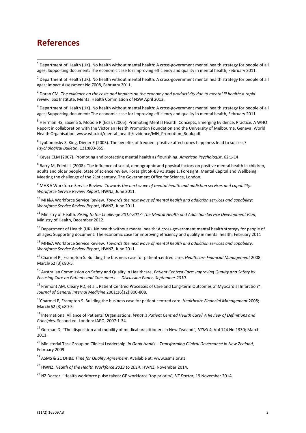#### **References**

 1 Department of Health (UK). No health without mental health: A cross-government mental health strategy for people of all ages; Supporting document: The economic case for improving efficiency and quality in mental health, February 2011.

 $^2$  Department of Health (UK). No health without mental health: A cross-government mental health strategy for people of all ages; Impact Assessment No 7008, February 2011

3 Doran CM. *The evidence on the costs and impacts on the economy and productivity due to mental ill health: a rapid review*, Sax Institute, Mental Health Commission of NSW April 2013.

<sup>4</sup> Department of Health (UK). No health without mental health: A cross-government mental health strategy for people of all ages; Supporting document: The economic case for improving efficiency and quality in mental health, February 2011

<sup>5</sup> Herrman HS, Saxena S, Moodie R (Eds). (2005). Promoting Mental Health: Concepts, Emerging Evidence, Practice. A WHO Report in collaboration with the Victorian Health Promotion Foundation and the University of Melbourne. Geneva: World Health Organisation. [www.who.int/mental\\_health/evidence/MH\\_Promotion\\_Book.pdf](http://www.who.int/mental_health/evidence/MH_Promotion_Book.pdf)

 $^6$  Lyubomirsky S, King, Diener E (2005). The benefits of frequent positive affect: does happiness lead to success? *Psychological Bulletin*, 131:803-855.

7 Keyes CLM (2007). Promoting and protecting mental health as flourishing. *American Psychologist*, 62:1-14

 $^8$  Barry M, Friedli L (2008). The influence of social, demographic and physical factors on positive mental health in children, adults and older people: State of science review. Foresight SR-B3 v1 stage 1. Foresight. Mental Capital and Wellbeing: Meeting the challenge of the 21st century. The Government Office for Science, London.

<sup>9</sup> MH&A Workforce Service Review. *Towards the next wave of mental health and addiction services and capability: Workforce Service Review Report*, HWNZ, June 2011.

<sup>10</sup> MH&A Workforce Service Review. *Towards the next wave of mental health and addiction services and capability: Workforce Service Review Report*, HWNZ, June 2011.

<sup>11</sup> Ministry of Health. *Rising to the Challenge 2012-2017: The Mental Health and Addiction Service Development Plan*, Ministry of Health, December 2012.

 $12$  Department of Health (UK). No health without mental health: A cross-government mental health strategy for people of all ages; Supporting document: The economic case for improving efficiency and quality in mental health, February 2011

<sup>13</sup> MH&A Workforce Service Review. *Towards the next wave of mental health and addiction services and capability: Workforce Service Review Report*, HWNZ, June 2011.

<sup>14</sup> Charmel P , Frampton S. Building the business case for patient-centred care. *Healthcare Financial Management* 2008; March(62 (3)):80-5.

<sup>15</sup> Australian Commission on Safety and Quality in Healthcare, *Patient Centred Care: Improving Quality and Safety by Focusing Care on Patients and Consumers — Discussion Paper, September 2010.*

<sup>16</sup> Fremont AM, Cleary PD, et al,. Patient Centred Processes of Care and Long-term Outcomes of Myocardial Infarction\*. *Journal of General Internal Medicine* 2001;16(12):800-808.

<sup>17</sup>Charmel P, Frampton S. Building the business case for patient centred care. *Healthcare Financial Management* 2008; March(62 (3)):80-5.

<sup>18</sup> International Alliance of Patients' Organisations. *What is Patient Centred Health Care? A Review of Definitions and Principles*. Second ed. London: IAPO, 2007:1-34.

<sup>19</sup> Gorman D. "The disposition and mobility of medical practitioners in New Zealand", *NZMJ* 4, Vol 124 No 1330; March 2011.

<sup>20</sup> Ministerial Task Group on Clinical Leadership. *In Good Hands – Transforming Clinical Governance in New Zealand*, February 2009

<sup>21</sup> ASMS & 21 DHBs. *Time for Quality Agreement*. Available at: www.asms.or.nz

<sup>22</sup> HWNZ. *Health of the Health Workforce 2013 to 2014*, HWNZ, November 2014.

<sup>23</sup> NZ Doctor. "Health workforce pulse taken: GP workforce 'top priority', *NZ Doctor*, 19 November 2014.